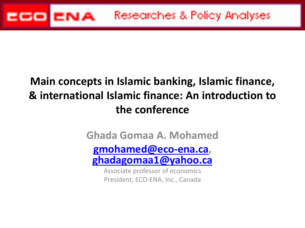

### **Main concepts in Islamic banking, Islamic finance, & international Islamic finance: An introduction to the conference**

**Ghada Gomaa A. Mohamed [gmohamed@eco-ena.ca,](mailto:gmohamed@eco-ena.ca) [ghadagomaa1@yahoo.ca](mailto:ghadagomaa1@yahoo.ca)**

Associate professor of economics President; ECO-ENA, Inc., Canada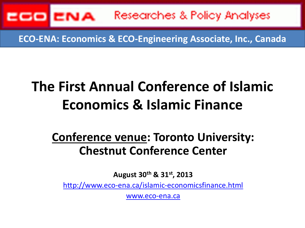

**ECO-ENA: Economics & ECO-Engineering Associate, Inc., Canada**

## **The First Annual Conference of Islamic Economics & Islamic Finance**

### **Conference venue: Toronto University: Chestnut Conference Center**

**August 30th & 31st, 2013**

<http://www.eco-ena.ca/islamic-economicsfinance.html>

[www.eco-ena.ca](http://www.eco-ena.ca/)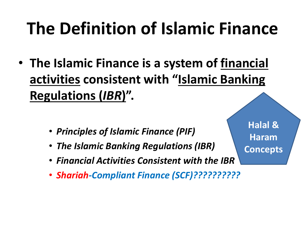# **The Definition of Islamic Finance**

- **The Islamic Finance is a system of financial activities consistent with "Islamic Banking Regulations (***IBR***)".** 
	- *Principles of Islamic Finance (PIF)*
	- *The Islamic Banking Regulations (IBR)*
	- *Financial Activities Consistent with the IBR*
	- *Shariah-Compliant Finance (SCF)??????????*

**Halal & Haram Concepts**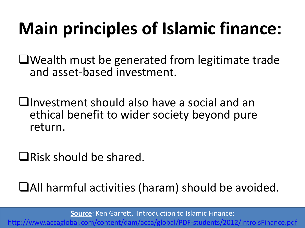# **Main principles of Islamic finance:**

Wealth must be generated from legitimate trade and asset-based investment.

Investment should also have a social and an ethical benefit to wider society beyond pure return.

 $\Box$ Risk should be shared.

All harmful activities (haram) should be avoided.

**Source**: Ken Garrett, Introduction to Islamic Finance:

<http://www.accaglobal.com/content/dam/acca/global/PDF-students/2012/introIsFinance.pdf>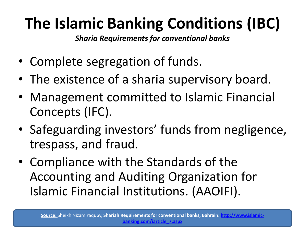## **The Islamic Banking Conditions (IBC)**

*Sharia Requirements for conventional banks*

- Complete segregation of funds.
- The existence of a sharia supervisory board.
- Management committed to Islamic Financial Concepts (IFC).
- Safeguarding investors' funds from negligence, trespass, and fraud.
- Compliance with the Standards of the Accounting and Auditing Organization for Islamic Financial Institutions. (AAOIFI).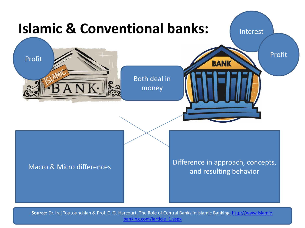

**Source:** Dr. Iraj Toutounchian & Prof. C. G. H[arcourt, The Role of Central Banks in Islamic Banking, http://www.islamic](http://www.islamic-banking.com/iarticle_1.aspx)banking.com/iarticle\_1.aspx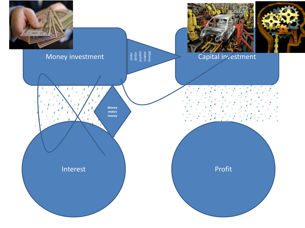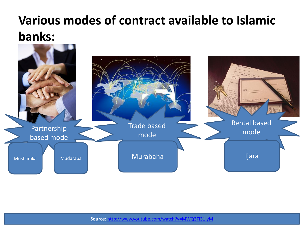## **Various modes of contract available to Islamic banks:**

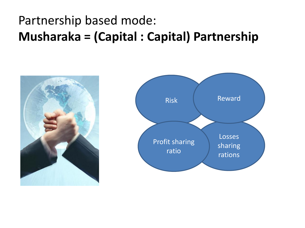## Partnership based mode: **Musharaka = (Capital : Capital) Partnership**



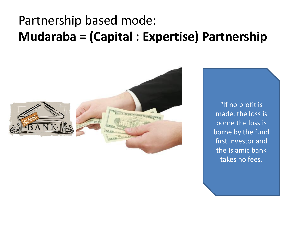### Partnership based mode: **Mudaraba = (Capital : Expertise) Partnership**



"If no profit is made, the loss is borne the loss is borne by the fund first investor and the Islamic bank takes no fees.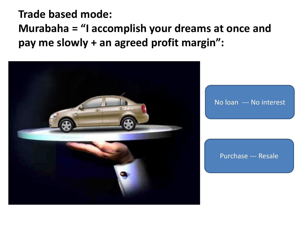### **Trade based mode: Murabaha = "I accomplish your dreams at once and pay me slowly + an agreed profit margin":**

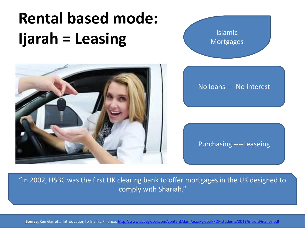## **Rental based mode: Ijarah = Leasing**





Purchasing ----Leaseing

"In 2002, HSBC was the first UK clearing bank to offer mortgages in the UK designed to comply with Shariah."

**Source**: Ken Garrett, Introduction to Islamic Finance:<http://www.accaglobal.com/content/dam/acca/global/PDF-students/2012/introIsFinance.pdf>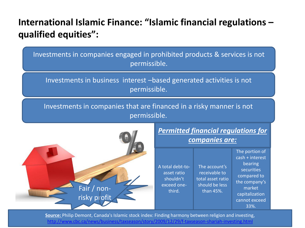#### **International Islamic Finance: "Islamic financial regulations – qualified equities":**

Investments in companies engaged in prohibited products & services is not permissible.

Investments in business interest –based generated activities is not permissible.

Investments in companies that are financed in a risky manner is not permissible.



**Source:** Philip Demont, Canada's Islamic stock index: Finding harmony between religion and investing, <http://www.cbc.ca/news/business/taxseason/story/2009/12/29/f-taxseason-shariah-investing.html>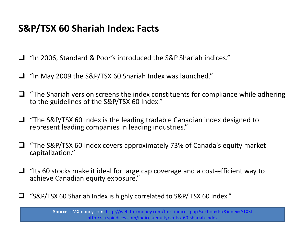#### **S&P/TSX 60 Shariah Index: Facts**

■ "In 2006, Standard & Poor's introduced the S&P Shariah indices."

- "In May 2009 the S&P/TSX 60 Shariah Index was launched."
- "The Shariah version screens the index constituents for compliance while adhering to the guidelines of the S&P/TSX 60 Index."
- $\Box$  "The S&P/TSX 60 Index is the leading tradable Canadian index designed to represent leading companies in leading industries."
- $\Box$  "The S&P/TSX 60 Index covers approximately 73% of Canada's equity market capitalization."
- $\Box$  "Its 60 stocks make it ideal for large cap coverage and a cost-efficient way to achieve Canadian equity exposure."
- "S&P/TSX 60 Shariah Index is highly correlated to S&P/ TSX 60 Index."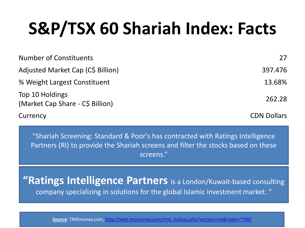# **S&P/TSX 60 Shariah Index: Facts**

| <b>Number of Constituents</b>                       | 27                 |
|-----------------------------------------------------|--------------------|
| Adjusted Market Cap (C\$ Billion)                   | 397.476            |
| % Weight Largest Constituent                        | 13.68%             |
| Top 10 Holdings<br>(Market Cap Share - C\$ Billion) | 262.28             |
| Currency                                            | <b>CDN Dollars</b> |

"Shariah Screening: Standard & Poor's has contracted with Ratings Intelligence Partners (RI) to provide the Shariah screens and filter the stocks based on these screens."

**"Ratings Intelligence Partners** is a London/Kuwait-based consulting company specializing in solutions for the global Islamic investment market. "

**Source**: TMXmoney.com, [http://web.tmxmoney.com/tmx\\_indices.php?section=tsx&index=^TXSI](http://web.tmxmoney.com/tmx_indices.php?section=tsx&index=^TXSI)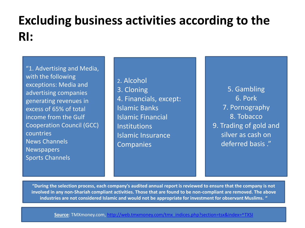## **Excluding business activities according to the RI:**

"1. Advertising and Media, with the following exceptions: Media and advertising companies generating revenues in excess of 65% of total income from the Gulf Cooperation Council (GCC) countries News Channels Newspapers Sports Channels

2. Alcohol 3. Cloning 4. Financials, except: Islamic Banks Islamic Financial Institutions Islamic Insurance **Companies** 

5. Gambling 6. Pork 7. Pornography 8. Tobacco 9. Trading of gold and silver as cash on deferred basis ."

**"During the selection process, each company's audited annual report is reviewed to ensure that the company is not involved in any non-Shariah compliant activities. Those that are found to be non-compliant are removed. The above industries are not considered Islamic and would not be appropriate for investment for observant Muslims. "**

**Source**: TMXmoney.com, [http://web.tmxmoney.com/tmx\\_indices.php?section=tsx&index=^TXSI](http://web.tmxmoney.com/tmx_indices.php?section=tsx&index=^TXSI)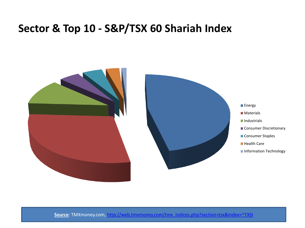#### **Sector & Top 10 - S&P/TSX 60 Shariah Index**



**Source**: TMXmoney.com, [http://web.tmxmoney.com/tmx\\_indices.php?section=tsx&index=^TXSI](http://web.tmxmoney.com/tmx_indices.php?section=tsx&index=^TXSI)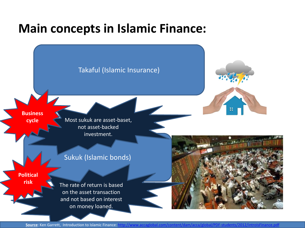### **Main concepts in Islamic Finance:**



**Source**: Ken Garrett, Introduction to Islamic Finance:<http://www.accaglobal.com/content/dam/acca/global/PDF-students/2012/introIsFinance.pdf>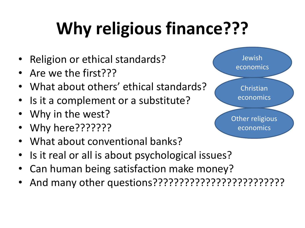# **Why religious finance???**

- Religion or ethical standards?
- Are we the first???
- What about others' ethical standards?
- Is it a complement or a substitute?
- Why in the west?
- Why here???????
- What about conventional banks?
- Is it real or all is about psychological issues?
- Can human being satisfaction make money?
- And many other questions?????????????????????????